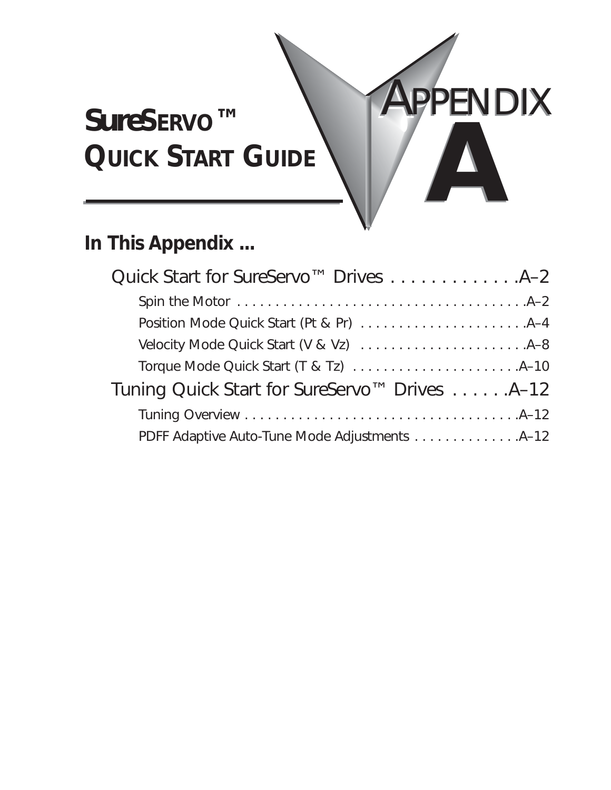# *Sure***SERVO™ QUICK START GUIDE**

# **In This Appendix ...**

| Quick Start for SureServo™ Drives 4-2         |
|-----------------------------------------------|
|                                               |
|                                               |
|                                               |
|                                               |
| Tuning Quick Start for SureServo™ Drives A-12 |
|                                               |
| PDFF Adaptive Auto-Tune Mode Adjustments 4-12 |

**PPENDIX** 

**AB**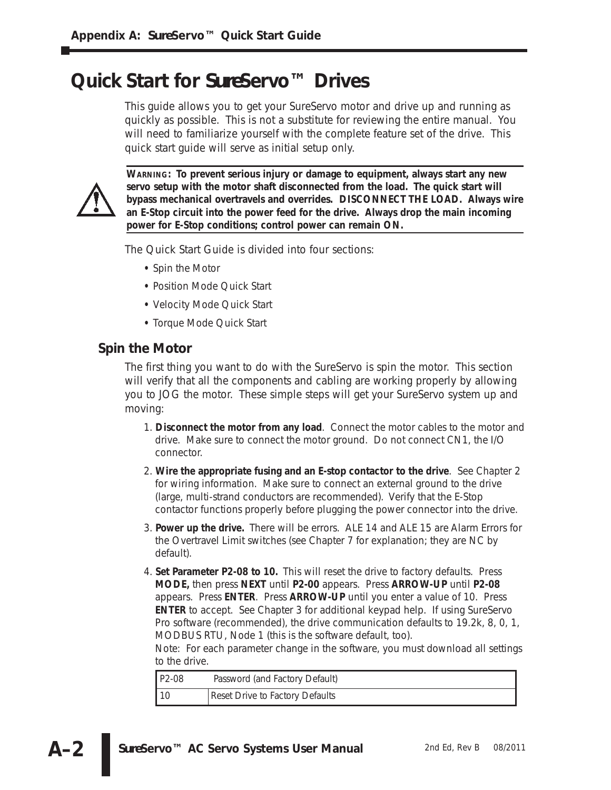# **Quick Start for** *Sure***Servo™ Drives**

This guide allows you to get your *Sure*Servo motor and drive up and running as quickly as possible. This is not a substitute for reviewing the entire manual. You will need to familiarize yourself with the complete feature set of the drive. This quick start guide will serve as initial setup only.



**WARNING: To prevent serious injury or damage to equipment, always start any new servo setup with the motor shaft disconnected from the load. The quick start will bypass mechanical overtravels and overrides. DISCONNECT THE LOAD. Always wire an E-Stop circuit into the power feed for the drive. Always drop the main incoming power for E-Stop conditions; control power can remain ON.**

The Quick Start Guide is divided into four sections:

- Spin the Motor
- Position Mode Quick Start
- Velocity Mode Quick Start
- Torque Mode Quick Start

#### **Spin the Motor**

The first thing you want to do with the *Sure*Servo is spin the motor. This section will verify that all the components and cabling are working properly by allowing you to JOG the motor. These simple steps will get your *Sure*Servo system up and moving:

- 1. **Disconnect the motor from any load**. Connect the motor cables to the motor and drive. Make sure to connect the motor ground. Do not connect CN1, the I/O connector.
- 2. **Wire the appropriate fusing and an E-stop contactor to the drive**. See Chapter 2 for wiring information. Make sure to connect an external ground to the drive (large, multi-strand conductors are recommended). Verify that the E-Stop contactor functions properly before plugging the power connector into the drive.
- 3. **Power up the drive.** There will be errors. ALE 14 and ALE 15 are Alarm Errors for the Overtravel Limit switches (see Chapter 7 for explanation; they are NC by default).
- 4. **Set Parameter P2-08 to 10.** This will reset the drive to factory defaults. Press **MODE,** then press **NEXT** until **P2-00** appears. Press **ARROW-UP** until **P2-08** appears. Press **ENTER**. Press **ARROW-UP** until you enter a value of 10. Press **ENTER** to accept. See Chapter 3 for additional keypad help. If using *Sure*Servo Pro software (recommended), the drive communication defaults to 19.2k, 8, 0, 1, MODBUS RTU, Node 1 (this is the software default, too).

Note: For each parameter change in the software, you must download all settings to the drive.

| P2-08 | Password (and Factory Default)  |
|-------|---------------------------------|
| l 10  | Reset Drive to Factory Defaults |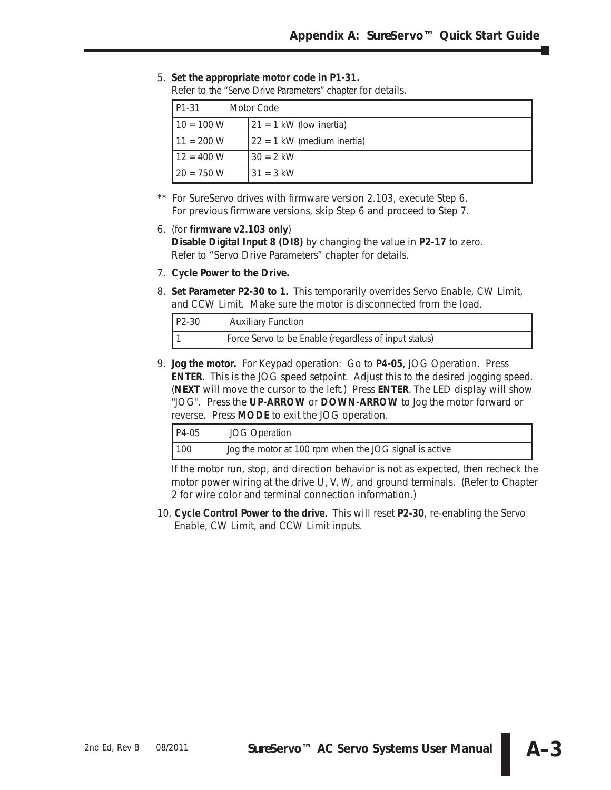#### 5. **Set the appropriate motor code in P1-31.**

Refer to the "Servo Drive Parameters" chapter for details.

| P1-31        | Motor Code                   |
|--------------|------------------------------|
| $10 = 100 W$ | $21 = 1$ kW (low inertia)    |
| $11 = 200 W$ | $22 = 1$ kW (medium inertia) |
| $12 = 400 W$ | $30 = 2$ kW                  |
| $20 = 750 W$ | $31 = 3$ kW                  |

\*\* For SureServo drives with firmware version 2.103, execute Step 6. For previous firmware versions, skip Step 6 and proceed to Step 7.

#### 6. (for **firmware v2.103 only**)

**Disable Digital Input 8 (DI8)** by changing the value in **P2-17** to zero. Refer to "Servo Drive Parameters" chapter for details.

- 7. **Cycle Power to the Drive.**
- 8. **Set Parameter P2-30 to 1.** This temporarily overrides Servo Enable, CW Limit, and CCW Limit. Make sure the motor is disconnected from the load.

| $P2-30$ | <b>Auxiliary Function</b>                             |
|---------|-------------------------------------------------------|
|         | Force Servo to be Enable (regardless of input status) |

9. **Jog the motor.** For Keypad operation: Go to **P4-05**, JOG Operation. Press **ENTER**. This is the JOG speed setpoint. Adjust this to the desired jogging speed. (**NEXT** will move the cursor to the left.) Press **ENTER**. The LED display will show "JOG". Press the **UP-ARROW** or **DOWN-ARROW** to Jog the motor forward or reverse. Press **MODE** to exit the JOG operation.

| $P4-05$ | <b>JOG Operation</b>                                   |  |
|---------|--------------------------------------------------------|--|
| 100     | Jog the motor at 100 rpm when the JOG signal is active |  |

If the motor run, stop, and direction behavior is not as expected, then recheck the motor power wiring at the drive U, V, W, and ground terminals. (Refer to Chapter 2 for wire color and terminal connection information.)

10. **Cycle Control Power to the drive.** This will reset **P2-30**, re-enabling the Servo Enable, CW Limit, and CCW Limit inputs.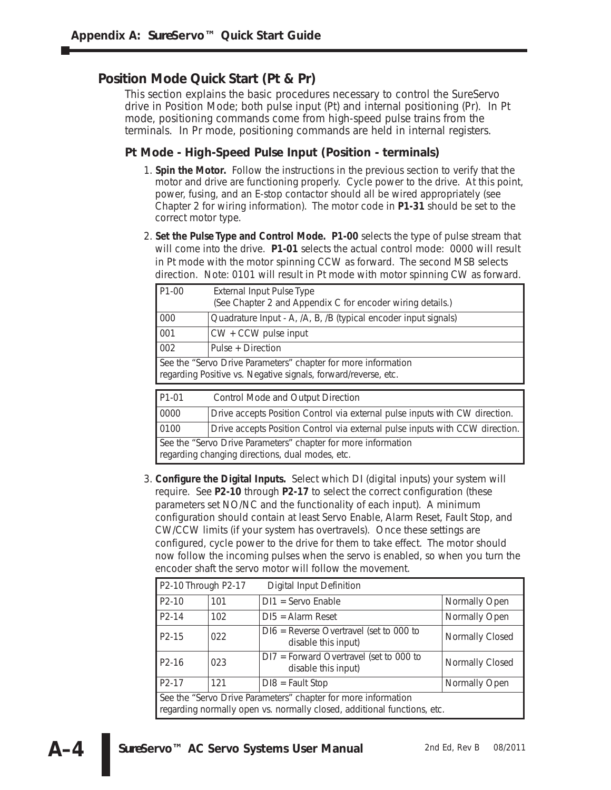### **Position Mode Quick Start (Pt & Pr)**

This section explains the basic procedures necessary to control the *Sure*Servo drive in Position Mode; both pulse input (Pt) and internal positioning (Pr). In Pt mode, positioning commands come from high-speed pulse trains from the terminals. In Pr mode, positioning commands are held in internal registers.

#### **Pt Mode - High-Speed Pulse Input (Position - terminals)**

- 1. **Spin the Motor.** Follow the instructions in the previous section to verify that the motor and drive are functioning properly. Cycle power to the drive. At this point, power, fusing, and an E-stop contactor should all be wired appropriately (see Chapter 2 for wiring information). The motor code in **P1-31** should be set to the correct motor type.
- 2. **Set the Pulse Type and Control Mode. P1-00** selects the type of pulse stream that will come into the drive. **P1-01** selects the actual control mode: 0000 will result in Pt mode with the motor spinning CCW as forward. The second MSB selects direction. Note: 0101 will result in Pt mode with motor spinning CW as forward.

| $P1-00$ | <b>External Input Pulse Type</b><br>(See Chapter 2 and Appendix C for encoder wiring details.)                                  |  |  |  |
|---------|---------------------------------------------------------------------------------------------------------------------------------|--|--|--|
| 000     | Quadrature Input - A, /A, B, /B (typical encoder input signals)                                                                 |  |  |  |
| 001     | $CW + CCW$ pulse input                                                                                                          |  |  |  |
| 002     | Pulse + Direction                                                                                                               |  |  |  |
|         | See the "Servo Drive Parameters" chapter for more information<br>regarding Positive vs. Negative signals, forward/reverse, etc. |  |  |  |
| P1-01   | Control Mode and Output Direction                                                                                               |  |  |  |
| 0000    | Drive accepts Position Control via external pulse inputs with CW direction.                                                     |  |  |  |
| 0100    | Drive accepts Position Control via external pulse inputs with CCW direction.                                                    |  |  |  |
|         | See the "Servo Drive Parameters" chapter for more information<br>regarding changing directions, dual modes, etc.                |  |  |  |

3. **Configure the Digital Inputs.** Select which DI (digital inputs) your system will require. See **P2-10** through **P2-17** to select the correct configuration (these parameters set NO/NC and the functionality of each input). A minimum configuration should contain at least Servo Enable, Alarm Reset, Fault Stop, and CW/CCW limits (if your system has overtravels). Once these settings are configured, cycle power to the drive for them to take effect. The motor should now follow the incoming pulses when the servo is enabled, so when you turn the encoder shaft the servo motor will follow the movement.

| P2-10 Through P2-17                                                                                                                      |     | Digital Input Definition                                         |                 |
|------------------------------------------------------------------------------------------------------------------------------------------|-----|------------------------------------------------------------------|-----------------|
| $P2-10$                                                                                                                                  | 101 | $DI1 =$ Servo Enable                                             | Normally Open   |
| P <sub>2</sub> -14                                                                                                                       | 102 | $DI5 =$ Alarm Reset                                              | Normally Open   |
| P <sub>2</sub> -15                                                                                                                       | 022 | $D16$ = Reverse Overtravel (set to 000 to<br>disable this input) | Normally Closed |
| P <sub>2</sub> -16                                                                                                                       | 023 | $DI7 = Forward Overtravel (set to 000 to$<br>disable this input) | Normally Closed |
| P <sub>2</sub> -17                                                                                                                       | 121 | $D18 = \text{Fault Stop}$                                        | Normally Open   |
| See the "Servo Drive Parameters" chapter for more information<br>regarding normally open vs. normally closed, additional functions, etc. |     |                                                                  |                 |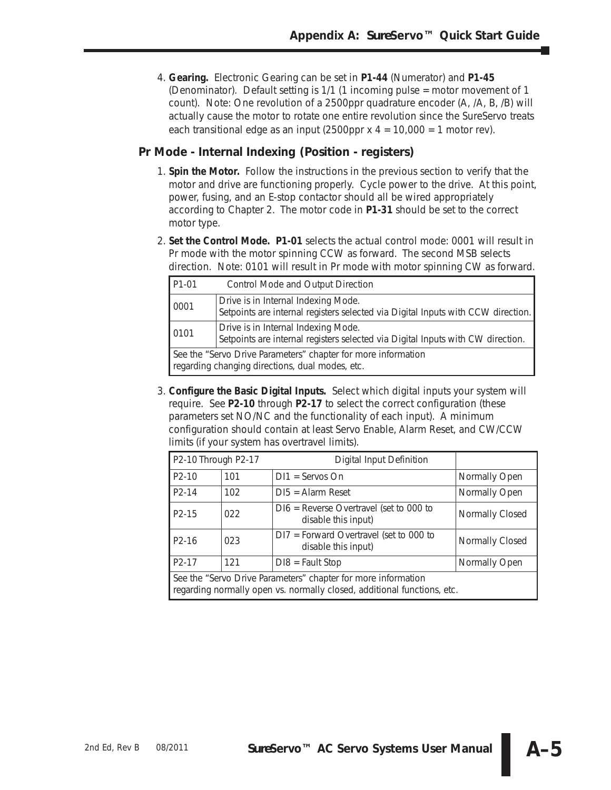4. **Gearing.** Electronic Gearing can be set in **P1-44** (Numerator) and **P1-45** (Denominator). Default setting is 1/1 (1 incoming pulse = motor movement of 1 count). Note: One revolution of a 2500ppr quadrature encoder (A, /A, B, /B) will actually cause the motor to rotate one entire revolution since the *Sure*Servo treats each transitional edge as an input (2500ppr  $x$  4 = 10,000 = 1 motor rev).

#### **Pr Mode - Internal Indexing (Position - registers)**

- 1. **Spin the Motor.** Follow the instructions in the previous section to verify that the motor and drive are functioning properly. Cycle power to the drive. At this point, power, fusing, and an E-stop contactor should all be wired appropriately according to Chapter 2. The motor code in **P1-31** should be set to the correct motor type.
- 2. **Set the Control Mode. P1-01** selects the actual control mode: 0001 will result in Pr mode with the motor spinning CCW as forward. The second MSB selects direction. Note: 0101 will result in Pr mode with motor spinning CW as forward.

| P <sub>1</sub> -01 | Control Mode and Output Direction                                                                                       |  |  |
|--------------------|-------------------------------------------------------------------------------------------------------------------------|--|--|
| 0001               | Drive is in Internal Indexing Mode.<br>Setpoints are internal registers selected via Digital Inputs with CCW direction. |  |  |
| 0101               | Drive is in Internal Indexing Mode.<br>Setpoints are internal registers selected via Digital Inputs with CW direction.  |  |  |
|                    | See the "Servo Drive Parameters" chapter for more information<br>regarding changing directions, dual modes, etc.        |  |  |

3. **Configure the Basic Digital Inputs.** Select which digital inputs your system will require. See **P2-10** through **P2-17** to select the correct configuration (these parameters set NO/NC and the functionality of each input). A minimum configuration should contain at least Servo Enable, Alarm Reset, and CW/CCW limits (if your system has overtravel limits).

| P2-10 Through P2-17                                                                                                                      |     | Digital Input Definition                                         |                 |
|------------------------------------------------------------------------------------------------------------------------------------------|-----|------------------------------------------------------------------|-----------------|
| $P2-10$                                                                                                                                  | 101 | $DI1 =$ Servos On                                                | Normally Open   |
| P <sub>2</sub> -14                                                                                                                       | 102 | $DI5 =$ Alarm Reset                                              | Normally Open   |
| P <sub>2</sub> -15                                                                                                                       | 022 | $D16$ = Reverse Overtravel (set to 000 to<br>disable this input) | Normally Closed |
| P <sub>2</sub> -16                                                                                                                       | 023 | $DI7 = Forward Overtravel (set to 000 to$<br>disable this input) | Normally Closed |
| P <sub>2</sub> -17                                                                                                                       | 121 | $D18 = \text{Fault Stop}$                                        | Normally Open   |
| See the "Servo Drive Parameters" chapter for more information<br>regarding normally open vs. normally closed, additional functions, etc. |     |                                                                  |                 |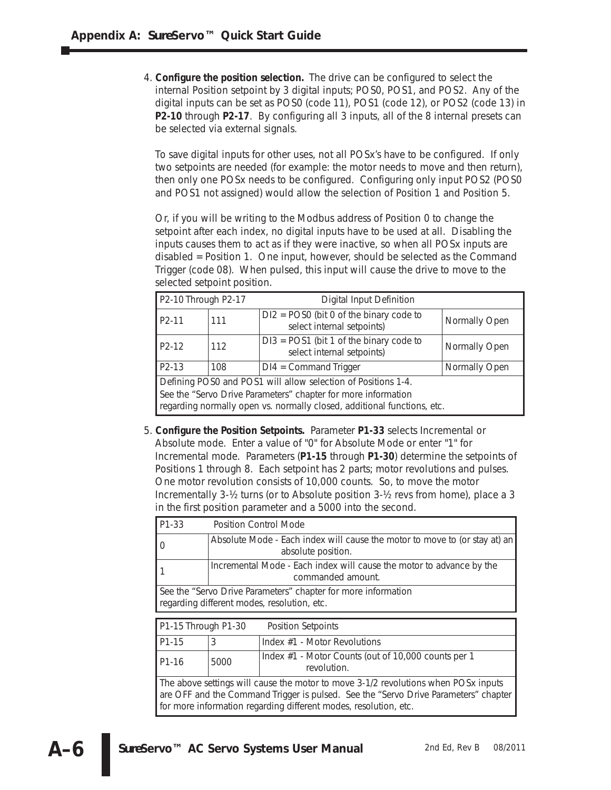4. **Configure the position selection.** The drive can be configured to select the internal Position setpoint by 3 digital inputs; POS0, POS1, and POS2. Any of the digital inputs can be set as POS0 (code 11), POS1 (code 12), or POS2 (code 13) in **P2-10** through **P2-17**. By configuring all 3 inputs, all of the 8 internal presets can be selected via external signals.

To save digital inputs for other uses, not all POSx's have to be configured. If only two setpoints are needed (for example: the motor needs to move and then return), then only one POSx needs to be configured. Configuring only input POS2 (POS0 and POS1 not assigned) would allow the selection of Position 1 and Position 5.

Or, if you will be writing to the Modbus address of Position 0 to change the setpoint after each index, no digital inputs have to be used at all. Disabling the inputs causes them to act as if they were inactive, so when all POSx inputs are disabled = Position 1. One input, however, should be selected as the Command Trigger (code 08). When pulsed, this input will cause the drive to move to the selected setpoint position.

| P2-10 Through P2-17                                                                                                                      |     | <b>Digital Input Definition</b>                                         |               |
|------------------------------------------------------------------------------------------------------------------------------------------|-----|-------------------------------------------------------------------------|---------------|
| P <sub>2</sub> -11                                                                                                                       | 111 | $D12 = POS0$ (bit 0 of the binary code to<br>select internal setpoints) | Normally Open |
| P <sub>2</sub> -12                                                                                                                       | 112 | $D13 = POS1$ (bit 1 of the binary code to<br>select internal setpoints) | Normally Open |
| P <sub>2</sub> -13                                                                                                                       | 108 | $DI4 = Command Trigger$                                                 | Normally Open |
| Defining POS0 and POS1 will allow selection of Positions 1-4.                                                                            |     |                                                                         |               |
| See the "Servo Drive Parameters" chapter for more information<br>regarding normally open vs. normally closed, additional functions, etc. |     |                                                                         |               |

5. **Configure the Position Setpoints.** Parameter **P1-33** selects Incremental or Absolute mode. Enter a value of "0" for Absolute Mode or enter "1" for Incremental mode. Parameters (**P1-15** through **P1-30**) determine the setpoints of Positions 1 through 8. Each setpoint has 2 parts; motor revolutions and pulses. One motor revolution consists of 10,000 counts. So, to move the motor Incrementally 3-½ turns (or to Absolute position 3-½ revs from home), place a 3 in the first position parameter and a 5000 into the second.

| P1-33<br>Position Control Mode                                                                               |                                                                                                  |                                                                                           |  |  |
|--------------------------------------------------------------------------------------------------------------|--------------------------------------------------------------------------------------------------|-------------------------------------------------------------------------------------------|--|--|
| $\Omega$                                                                                                     | Absolute Mode - Each index will cause the motor to move to (or stay at) an<br>absolute position. |                                                                                           |  |  |
|                                                                                                              |                                                                                                  | Incremental Mode - Each index will cause the motor to advance by the<br>commanded amount. |  |  |
| See the "Servo Drive Parameters" chapter for more information<br>regarding different modes, resolution, etc. |                                                                                                  |                                                                                           |  |  |
|                                                                                                              |                                                                                                  |                                                                                           |  |  |
| P1-15 Through P1-30<br><b>Position Setpoints</b>                                                             |                                                                                                  |                                                                                           |  |  |
|                                                                                                              |                                                                                                  |                                                                                           |  |  |
| P <sub>1</sub> -15                                                                                           | 3                                                                                                | Index #1 - Motor Revolutions                                                              |  |  |
| P <sub>1</sub> -16                                                                                           | 5000                                                                                             | Index #1 - Motor Counts (out of 10,000 counts per 1<br>revolution.                        |  |  |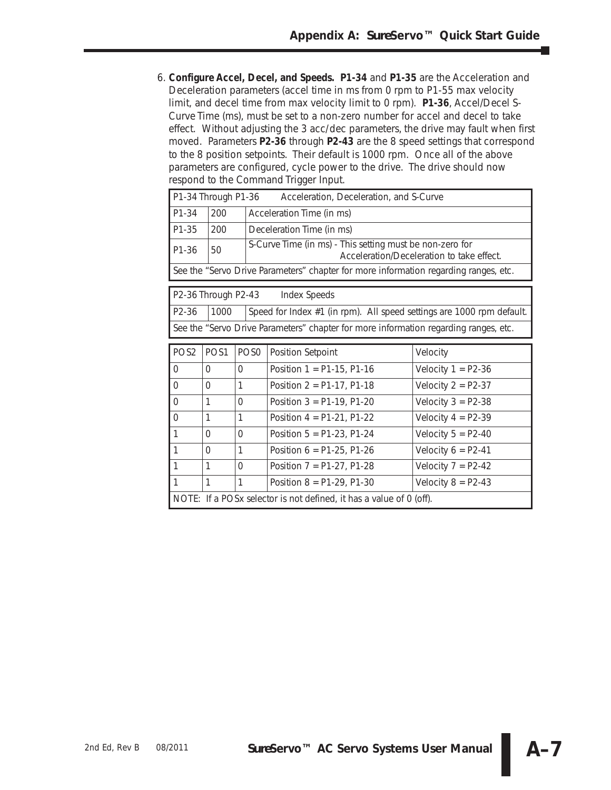6. **Configure Accel, Decel, and Speeds. P1-34** and **P1-35** are the Acceleration and Deceleration parameters (accel time in ms from 0 rpm to P1-55 max velocity limit, and decel time from max velocity limit to 0 rpm). **P1-36**, Accel/Decel S-Curve Time (ms), must be set to a non-zero number for accel and decel to take effect. *Without adjusting the 3 acc/dec parameters, the drive may fault when first moved.* Parameters **P2-36** through **P2-43** are the 8 speed settings that correspond to the 8 position setpoints. Their default is 1000 rpm. Once all of the above parameters are configured, cycle power to the drive. The drive should now respond to the Command Trigger Input.

| P1-34 Through P1-36<br>Acceleration, Deceleration, and S-Curve                       |     |                                                                                                       |
|--------------------------------------------------------------------------------------|-----|-------------------------------------------------------------------------------------------------------|
| P1-34                                                                                | 200 | Acceleration Time (in ms)                                                                             |
| P1-35                                                                                | 200 | Deceleration Time (in ms)                                                                             |
| P <sub>1</sub> -36                                                                   | 50  | S-Curve Time (in ms) - This setting must be non-zero for<br>Acceleration/Deceleration to take effect. |
| See the "Servo Drive Parameters" chapter for more information regarding ranges, etc. |     |                                                                                                       |

| $P2-36$ Through P2-43                                                                |  | Index Speeds                                                          |  |  |
|--------------------------------------------------------------------------------------|--|-----------------------------------------------------------------------|--|--|
| $P2-36$   1000                                                                       |  | Speed for Index #1 (in rpm). All speed settings are 1000 rpm default. |  |  |
| See the "Servo Drive Parameters" chapter for more information regarding ranges, etc. |  |                                                                       |  |  |

| POS <sub>2</sub>                                                    | POS <sub>1</sub> | POS <sub>0</sub> | Position Setpoint            | Velocity             |
|---------------------------------------------------------------------|------------------|------------------|------------------------------|----------------------|
| $\Omega$                                                            | $\Omega$         | $\Omega$         | Position $1 = P1-15$ , P1-16 | Velocity $1 = P2-36$ |
| $\Omega$                                                            | $\Omega$         | 1                | Position $2 = P1-17$ , P1-18 | Velocity $2 = P2-37$ |
| $\Omega$                                                            | 1                | $\Omega$         | Position $3 = P1-19$ , P1-20 | Velocity $3 = P2-38$ |
| $\Omega$                                                            | 1                | 1                | Position $4 = P1-21$ , P1-22 | Velocity $4 = P2-39$ |
| $\mathbf{1}$                                                        | $\Omega$         | $\Omega$         | Position $5 = P1-23$ , P1-24 | Velocity $5 = P2-40$ |
| $\mathbf{1}$                                                        | $\Omega$         | $\mathbf 1$      | Position $6 = P1-25$ , P1-26 | Velocity $6 = P2-41$ |
| $\mathbf{1}$                                                        | 1                | $\Omega$         | Position $7 = P1-27$ , P1-28 | Velocity $7 = P2-42$ |
|                                                                     | 1                | 1                | Position $8 = P1-29$ , P1-30 | Velocity $8 = P2-43$ |
| NOTE: If a POSx selector is not defined, it has a value of 0 (off). |                  |                  |                              |                      |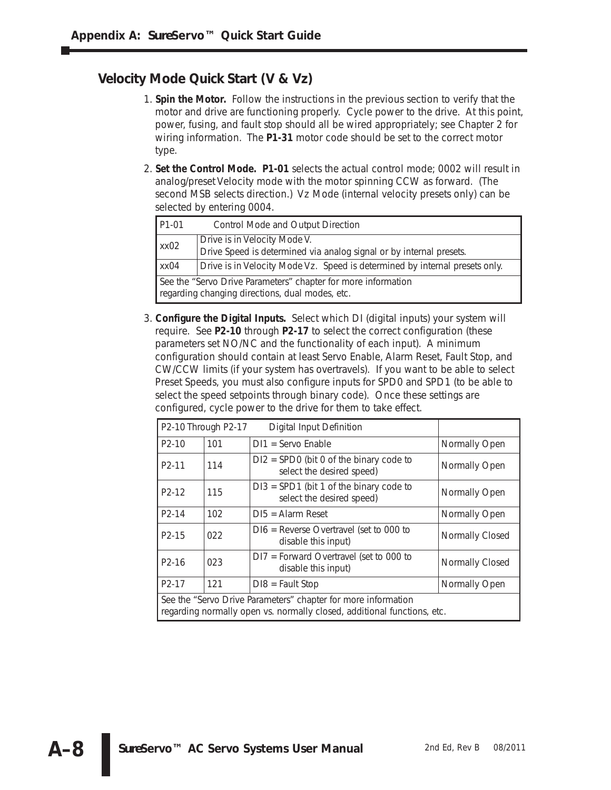## **Velocity Mode Quick Start (V & Vz)**

- 1. **Spin the Motor.** Follow the instructions in the previous section to verify that the motor and drive are functioning properly. Cycle power to the drive. At this point, power, fusing, and fault stop should all be wired appropriately; see Chapter 2 for wiring information. The **P1-31** motor code should be set to the correct motor type.
- 2. **Set the Control Mode. P1-01** selects the actual control mode; 0002 will result in analog/preset Velocity mode with the motor spinning CCW as forward. (The second MSB selects direction.) Vz Mode (internal velocity presets only) can be selected by entering 0004.

| P <sub>1</sub> -01                                                                                               | Control Mode and Output Direction                                                                   |  |  |
|------------------------------------------------------------------------------------------------------------------|-----------------------------------------------------------------------------------------------------|--|--|
| xx02                                                                                                             | Drive is in Velocity Mode V.<br>Drive Speed is determined via analog signal or by internal presets. |  |  |
| XX04                                                                                                             | Drive is in Velocity Mode Vz. Speed is determined by internal presets only.                         |  |  |
| See the "Servo Drive Parameters" chapter for more information<br>regarding changing directions, dual modes, etc. |                                                                                                     |  |  |

3. **Configure the Digital Inputs.** Select which DI (digital inputs) your system will require. See **P2-10** through **P2-17** to select the correct configuration (these parameters set NO/NC and the functionality of each input). A minimum configuration should contain at least Servo Enable, Alarm Reset, Fault Stop, and CW/CCW limits (if your system has overtravels). If you want to be able to select Preset Speeds, you must also configure inputs for SPD0 and SPD1 (to be able to select the speed setpoints through binary code). Once these settings are configured, cycle power to the drive for them to take effect.

|                                                                                                                                          | P2-10 Through P2-17 | Digital Input Definition                                               |                 |
|------------------------------------------------------------------------------------------------------------------------------------------|---------------------|------------------------------------------------------------------------|-----------------|
| $P2-10$                                                                                                                                  | 101                 | $DI1 =$ Servo Enable                                                   | Normally Open   |
| P <sub>2</sub> -11                                                                                                                       | 114                 | $D12 =$ SPD0 (bit 0 of the binary code to<br>select the desired speed) | Normally Open   |
| P <sub>2</sub> -12                                                                                                                       | 115                 | $D13 = SPD1$ (bit 1 of the binary code to<br>select the desired speed) | Normally Open   |
| P <sub>2</sub> -14                                                                                                                       | 102                 | $DI5 =$ Alarm Reset                                                    | Normally Open   |
| P <sub>2</sub> -15                                                                                                                       | 022                 | $D16$ = Reverse Overtravel (set to 000 to<br>disable this input)       | Normally Closed |
| P <sub>2</sub> -16                                                                                                                       | 023                 | $DI7 = Forward Overtravel (set to 000 to$<br>disable this input)       | Normally Closed |
| P <sub>2</sub> -17                                                                                                                       | 121                 | $D18 = \text{Fault Stop}$                                              | Normally Open   |
| See the "Servo Drive Parameters" chapter for more information<br>regarding normally open vs. normally closed, additional functions, etc. |                     |                                                                        |                 |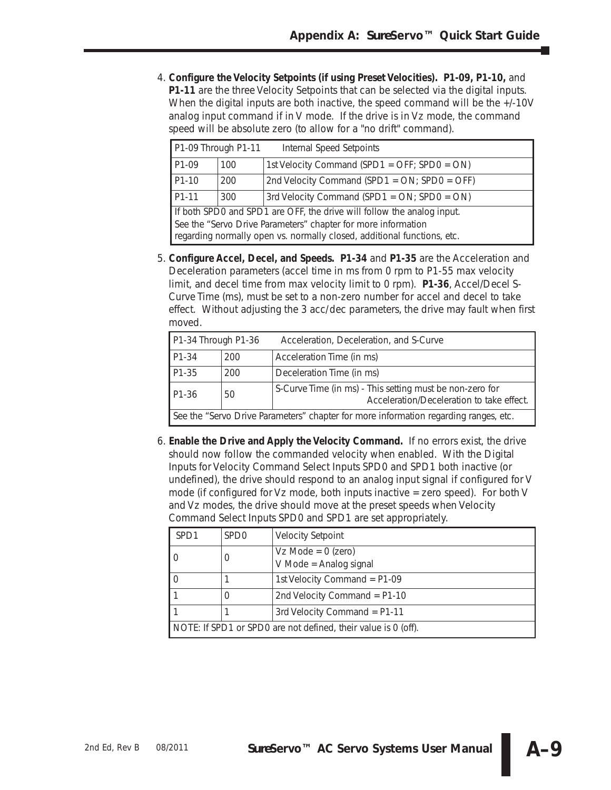4. **Configure the Velocity Setpoints (if using Preset Velocities). P1-09, P1-10,** and **P1-11** are the three Velocity Setpoints that can be selected via the digital inputs. When the digital inputs are both inactive, the speed command will be the  $+/-10V$ analog input command if in V mode. If the drive is in Vz mode, the command speed will be absolute zero (to allow for a "no drift" command).

| P1-09 Through P1-11                                                                                                                      |     | Internal Speed Setpoints                          |  |
|------------------------------------------------------------------------------------------------------------------------------------------|-----|---------------------------------------------------|--|
| P <sub>1</sub> -09                                                                                                                       | 100 | 1st Velocity Command (SPD1 = OFF; SPD0 = ON)      |  |
| P <sub>1</sub> -10                                                                                                                       | 200 | 2nd Velocity Command (SPD1 = ON; SPD0 = OFF)      |  |
| P <sub>1</sub> -11                                                                                                                       | 300 | 3rd Velocity Command (SPD1 = $ON$ ; SPD0 = $ON$ ) |  |
| If both SPD0 and SPD1 are OFF, the drive will follow the analog input.                                                                   |     |                                                   |  |
| See the "Servo Drive Parameters" chapter for more information<br>regarding normally open vs. normally closed, additional functions, etc. |     |                                                   |  |

5. **Configure Accel, Decel, and Speeds. P1-34** and **P1-35** are the Acceleration and Deceleration parameters (accel time in ms from 0 rpm to P1-55 max velocity limit, and decel time from max velocity limit to 0 rpm). **P1-36**, Accel/Decel S-Curve Time (ms), must be set to a non-zero number for accel and decel to take effect. *Without adjusting the 3 acc/dec parameters, the drive may fault when first moved.*

| P1-34 Through P1-36                                                                  |     | Acceleration, Deceleration, and S-Curve                                                               |
|--------------------------------------------------------------------------------------|-----|-------------------------------------------------------------------------------------------------------|
| P <sub>1</sub> -34                                                                   | 200 | Acceleration Time (in ms)                                                                             |
| P1-35                                                                                | 200 | Deceleration Time (in ms)                                                                             |
| P <sub>1</sub> -36                                                                   | 50  | S-Curve Time (in ms) - This setting must be non-zero for<br>Acceleration/Deceleration to take effect. |
| See the "Servo Drive Parameters" chapter for more information regarding ranges, etc. |     |                                                                                                       |

6. **Enable the Drive and Apply the Velocity Command.** If no errors exist, the drive should now follow the commanded velocity when enabled. With the Digital Inputs for Velocity Command Select Inputs SPD0 and SPD1 both inactive (or undefined), the drive should respond to an analog input signal if configured for V mode (if configured for Vz mode, both inputs inactive = zero speed). For both V and Vz modes, the drive should move at the preset speeds when Velocity Command Select Inputs SPD0 and SPD1 are set appropriately.

| SPD1                                                           | SPD <sub>0</sub> | <b>Velocity Setpoint</b>                       |
|----------------------------------------------------------------|------------------|------------------------------------------------|
|                                                                | $\cup$           | $Vz$ Mode = 0 (zero)<br>V Mode = Analog signal |
|                                                                |                  | 1st Velocity Command = P1-09                   |
|                                                                | O                | 2nd Velocity Command = $P1-10$                 |
|                                                                |                  | 3rd Velocity Command = P1-11                   |
| NOTE: If SPD1 or SPD0 are not defined, their value is 0 (off). |                  |                                                |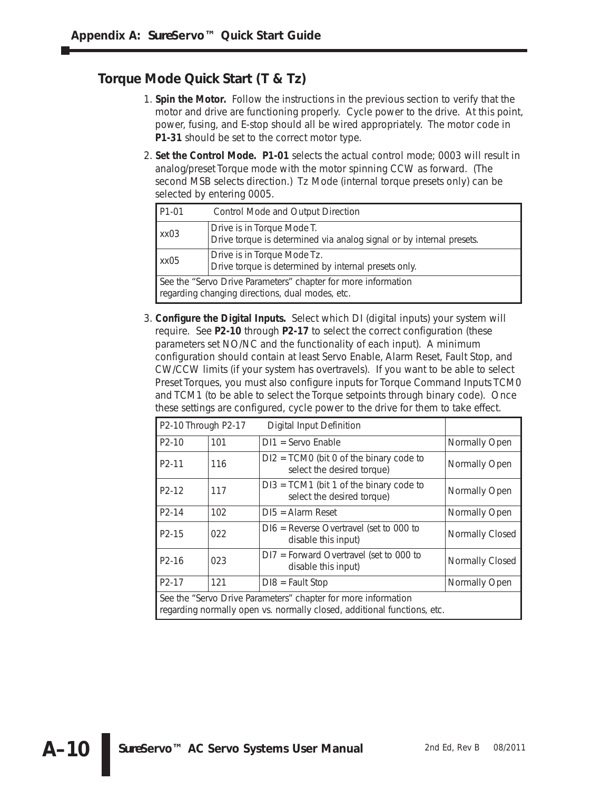## **Torque Mode Quick Start (T & Tz)**

- 1. **Spin the Motor.** Follow the instructions in the previous section to verify that the motor and drive are functioning properly. Cycle power to the drive. At this point, power, fusing, and E-stop should all be wired appropriately. The motor code in **P1-31** should be set to the correct motor type.
- 2. **Set the Control Mode. P1-01** selects the actual control mode; 0003 will result in analog/preset Torque mode with the motor spinning CCW as forward. (The second MSB selects direction.) Tz Mode (internal torque presets only) can be selected by entering 0005.

| P1-01                                                                                                            | Control Mode and Output Direction                                                                  |  |
|------------------------------------------------------------------------------------------------------------------|----------------------------------------------------------------------------------------------------|--|
| xx03                                                                                                             | Drive is in Torque Mode T.<br>Drive torque is determined via analog signal or by internal presets. |  |
| xx05                                                                                                             | Drive is in Torque Mode Tz.<br>Drive torque is determined by internal presets only.                |  |
| See the "Servo Drive Parameters" chapter for more information<br>regarding changing directions, dual modes, etc. |                                                                                                    |  |

3. **Configure the Digital Inputs.** Select which DI (digital inputs) your system will require. See **P2-10** through **P2-17** to select the correct configuration (these parameters set NO/NC and the functionality of each input). A minimum configuration should contain at least Servo Enable, Alarm Reset, Fault Stop, and CW/CCW limits (if your system has overtravels). If you want to be able to select Preset Torques, you must also configure inputs for Torque Command Inputs TCM0 and TCM1 (to be able to select the Torque setpoints through binary code). Once these settings are configured, cycle power to the drive for them to take effect.

| P2-10 Through P2-17                                                                                                                      |     | Digital Input Definition                                                |                 |
|------------------------------------------------------------------------------------------------------------------------------------------|-----|-------------------------------------------------------------------------|-----------------|
| P <sub>2</sub> -10                                                                                                                       | 101 | $DI1 =$ Servo Enable                                                    | Normally Open   |
| P <sub>2</sub> -11                                                                                                                       | 116 | $DI2 = TCMO$ (bit 0 of the binary code to<br>select the desired torque) | Normally Open   |
| P <sub>2</sub> -12                                                                                                                       | 117 | $D13 = TCM1$ (bit 1 of the binary code to<br>select the desired torque) | Normally Open   |
| P <sub>2</sub> -14                                                                                                                       | 102 | $DI5 =$ Alarm Reset                                                     | Normally Open   |
| P <sub>2</sub> -15                                                                                                                       | 022 | $D16$ = Reverse Overtravel (set to 000 to<br>disable this input)        | Normally Closed |
| P <sub>2</sub> -16                                                                                                                       | 023 | $DI7 = Forward Overtravel (set to 000 to$<br>disable this input)        | Normally Closed |
| P <sub>2</sub> -17                                                                                                                       | 121 | $D18 = \text{Pault Stop}$                                               | Normally Open   |
| See the "Servo Drive Parameters" chapter for more information<br>regarding normally open vs. normally closed, additional functions, etc. |     |                                                                         |                 |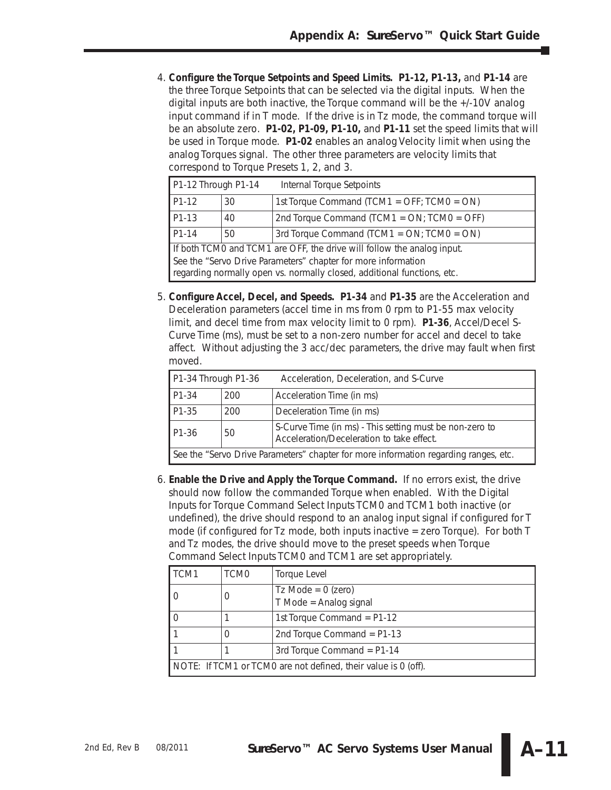4. **Configure the Torque Setpoints and Speed Limits. P1-12, P1-13,** and **P1-14** are the three Torque Setpoints that can be selected via the digital inputs. When the digital inputs are both inactive, the Torque command will be the +/-10V analog input command if in T mode. If the drive is in Tz mode, the command torque will be an absolute zero. **P1-02, P1-09, P1-10,** and **P1-11** set the speed limits that will be used in Torque mode. **P1-02** enables an analog Velocity limit when using the analog Torques signal. The other three parameters are velocity limits that correspond to Torque Presets 1, 2, and 3.

| P1-12 Through P1-14                                                     |    | Internal Torque Setpoints                       |  |
|-------------------------------------------------------------------------|----|-------------------------------------------------|--|
| P <sub>1</sub> -12                                                      | 30 | 1st Torque Command (TCM1 = OFF; TCM0 = ON)      |  |
| P <sub>1</sub> -13                                                      | 40 | 2nd Torque Command (TCM1 = $ON$ ; TCM0 = OFF)   |  |
| P1-14                                                                   | 50 | 3rd Torque Command (TCM1 = $ON$ ; TCM0 = $ON$ ) |  |
| If both TCM0 and TCM1 are OFF, the drive will follow the analog input.  |    |                                                 |  |
| See the "Servo Drive Parameters" chapter for more information           |    |                                                 |  |
| regarding normally open vs. normally closed, additional functions, etc. |    |                                                 |  |

5. **Configure Accel, Decel, and Speeds. P1-34** and **P1-35** are the Acceleration and Deceleration parameters (accel time in ms from 0 rpm to P1-55 max velocity limit, and decel time from max velocity limit to 0 rpm). **P1-36**, Accel/Decel S-Curve Time (ms), must be set to a non-zero number for accel and decel to take affect. *Without adjusting the 3 acc/dec parameters, the drive may fault when first moved.*

| P1-34 Through P1-36                                                                  |     | Acceleration, Deceleration, and S-Curve                                                              |
|--------------------------------------------------------------------------------------|-----|------------------------------------------------------------------------------------------------------|
| P1-34                                                                                | 200 | Acceleration Time (in ms)                                                                            |
| P1-35                                                                                | 200 | Deceleration Time (in ms)                                                                            |
| P <sub>1</sub> -36                                                                   | 50  | S-Curve Time (in ms) - This setting must be non-zero to<br>Acceleration/Deceleration to take effect. |
| See the "Servo Drive Parameters" chapter for more information regarding ranges, etc. |     |                                                                                                      |

6. **Enable the Drive and Apply the Torque Command.** If no errors exist, the drive should now follow the commanded Torque when enabled. With the Digital Inputs for Torque Command Select Inputs TCM0 and TCM1 both inactive (or undefined), the drive should respond to an analog input signal if configured for T mode (if configured for Tz mode, both inputs inactive = zero Torque). For both T and Tz modes, the drive should move to the preset speeds when Torque Command Select Inputs TCM0 and TCM1 are set appropriately.

| TCM1                                                           | TCM <sub>0</sub> | Torque Level                                   |
|----------------------------------------------------------------|------------------|------------------------------------------------|
|                                                                | 0                | $Tz$ Mode = 0 (zero)<br>T Mode = Analog signal |
|                                                                |                  | 1st Torque Command = $P1-12$                   |
|                                                                | $\Omega$         | 2nd Torque Command = $P1-13$                   |
|                                                                |                  | 3rd Torque Command = $P1-14$                   |
| NOTE: If TCM1 or TCM0 are not defined, their value is 0 (off). |                  |                                                |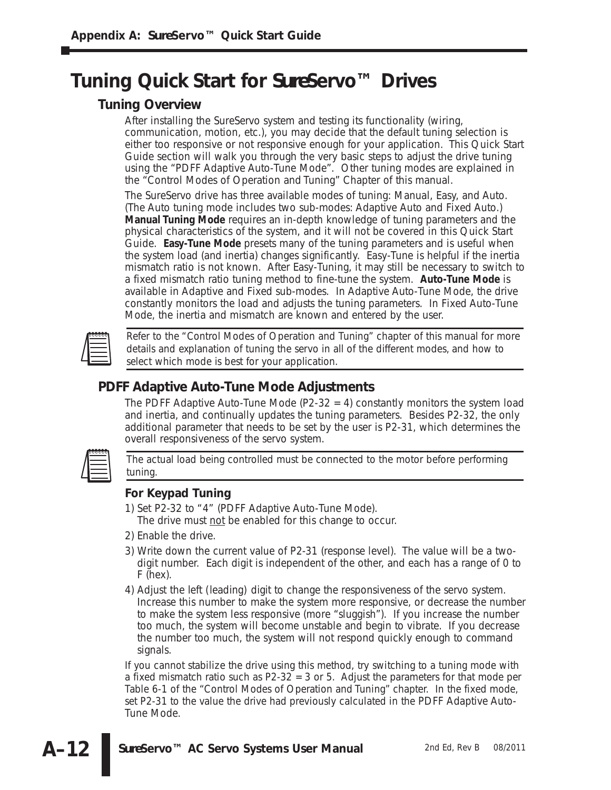# **Tuning Quick Start for** *Sure***Servo™ Drives**

### **Tuning Overview**

After installing the *Sure*Servo system and testing its functionality (wiring, communication, motion, etc.), you may decide that the default tuning selection is either too responsive or not responsive enough for your application. This Quick Start Guide section will walk you through the very basic steps to adjust the drive tuning using the "PDFF Adaptive Auto-Tune Mode". Other tuning modes are explained in the "Control Modes of Operation and Tuning" Chapter of this manual.

The *Sure*Servo drive has three available modes of tuning: Manual, Easy, and Auto. (The Auto tuning mode includes two sub-modes: Adaptive Auto and Fixed Auto.) **Manual Tuning Mode** requires an in-depth knowledge of tuning parameters and the physical characteristics of the system, and it will not be covered in this Quick Start Guide. **Easy-Tune Mode** presets many of the tuning parameters and is useful when the system load (and inertia) changes significantly. Easy-Tune is helpful if the inertia mismatch ratio is not known. After Easy-Tuning, it may still be necessary to switch to a fixed mismatch ratio tuning method to fine-tune the system. **Auto-Tune Mode** is available in Adaptive and Fixed sub-modes. In Adaptive Auto-Tune Mode, the drive constantly monitors the load and adjusts the tuning parameters. In Fixed Auto-Tune Mode, the inertia and mismatch are known and entered by the user.



*Refer to the "Control Modes of Operation and Tuning" chapter of this manual for more details and explanation of tuning the servo in all of the different modes, and how to select which mode is best for your application.*

## **PDFF Adaptive Auto-Tune Mode Adjustments**

The PDFF Adaptive Auto-Tune Mode (P2-32  $=$  4) constantly monitors the system load and inertia, and continually updates the tuning parameters. Besides P2-32, the only additional parameter that needs to be set by the user is P2-31, which determines the overall responsiveness of the servo system.



*The actual load being controlled must be connected to the motor before performing tuning.*

#### **For Keypad Tuning**

- 1) *Set P2-32 to "4"* (PDFF Adaptive Auto-Tune Mode). The drive must not be enabled for this change to occur.
- 2) *Enable the drive.*
- 3) *Write down the current value of P2-31* (response level). The value will be a twodigit number. Each digit is independent of the other, and each has a range of 0 to F (hex).
- 4) *Adjust the left (leading) digit* to change the responsiveness of the servo system. Increase this number to make the system more responsive, or decrease the number to make the system less responsive (more "sluggish"). If you increase the number too much, the system will become unstable and begin to vibrate. If you decrease the number too much, the system will not respond quickly enough to command signals.

If you cannot stabilize the drive using this method, try switching to a tuning mode with a fixed mismatch ratio such as P2-32 = 3 or 5. Adjust the parameters for that mode per Table 6-1 of the "Control Modes of Operation and Tuning" chapter. In the fixed mode, set P2-31 to the value the drive had previously calculated in the PDFF Adaptive Auto-Tune Mode.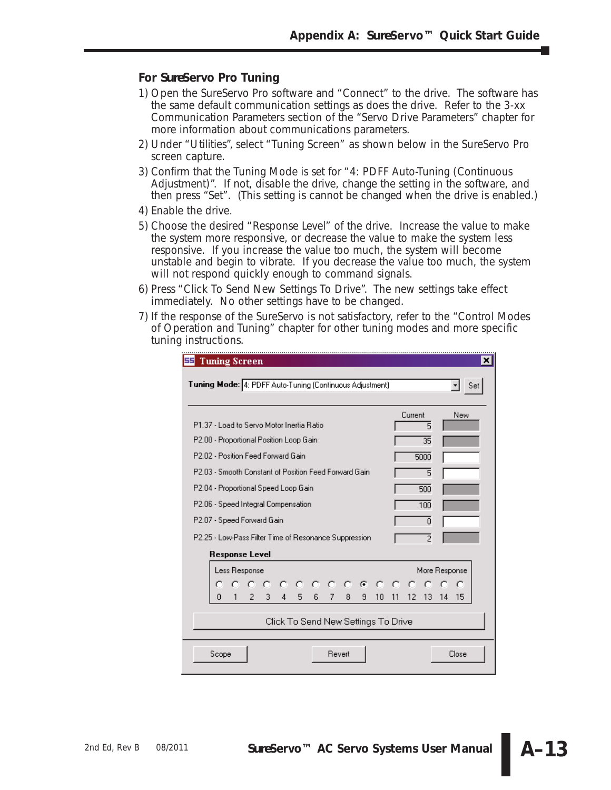#### **For** *Sure***Servo Pro Tuning**

- 1) *Open the SureServo Pro software and "Connect" to the drive.* The software has the same default communication settings as does the drive. Refer to the 3-xx Communication Parameters section of the "Servo Drive Parameters" chapter for more information about communications parameters.
- 2) *Under "Utilities", select "Tuning Screen"* as shown below in the *Sure*Servo Pro screen capture.
- 3) *Confirm that the Tuning Mode is set for "4: PDFF Auto-Tuning (Continuous Adjustment)".* If not, disable the drive, change the setting in the software, and then press "Set". (This setting is cannot be changed when the drive is enabled.)
- 4) *Enable the drive.*
- 5) *Choose the desired "Response Level" of the drive.* Increase the value to make the system more responsive, or decrease the value to make the system less responsive. If you increase the value too much, the system will become unstable and begin to vibrate. If you decrease the value too much, the system will not respond quickly enough to command signals.
- 6) *Press "Click To Send New Settings To Drive".* The new settings take effect immediately. No other settings have to be changed.
- 7) If the response of the *Sure*Servo is not satisfactory, refer to the "Control Modes of Operation and Tuning" chapter for other tuning modes and more specific tuning instructions.

| 또<br><b>Tuning Screen</b>                                                                                                                                                                                                                                                                                                                                   |                                                                             | $\mathbf{x}$ |
|-------------------------------------------------------------------------------------------------------------------------------------------------------------------------------------------------------------------------------------------------------------------------------------------------------------------------------------------------------------|-----------------------------------------------------------------------------|--------------|
| Tuning Mode: 4: PDFF Auto-Tuning (Continuous Adjustment)                                                                                                                                                                                                                                                                                                    |                                                                             | Set          |
| P1.37 - Load to Servo Motor Inertia Ratio<br>P2.00 - Proportional Position Loop Gain<br>P2.02 - Position Feed Forward Gain<br>P.2.03 - Smooth Constant of Position Feed Forward Gain.<br>P2.04 - Proportional Speed Loop Gain<br>P2.06 - Speed Integral Compensation<br>P2.07 - Speed Forward Gain<br>P2.25 - Low-Pass Filter Time of Resonance Suppression | Current<br>5<br>35<br>5000<br>5<br>500<br>100<br>$\Omega$<br>$\overline{2}$ | New          |
| <b>Response Level</b>                                                                                                                                                                                                                                                                                                                                       |                                                                             |              |
| Less Response<br>.<br>2 3 4 5 6 7 8 9 10<br>$\mathbf{1}$<br>n                                                                                                                                                                                                                                                                                               | More Response<br>11 12 13 14                                                | -15          |
| Click To Send New Settings To Drive                                                                                                                                                                                                                                                                                                                         |                                                                             |              |
| Scope<br>Revert                                                                                                                                                                                                                                                                                                                                             |                                                                             | Close        |